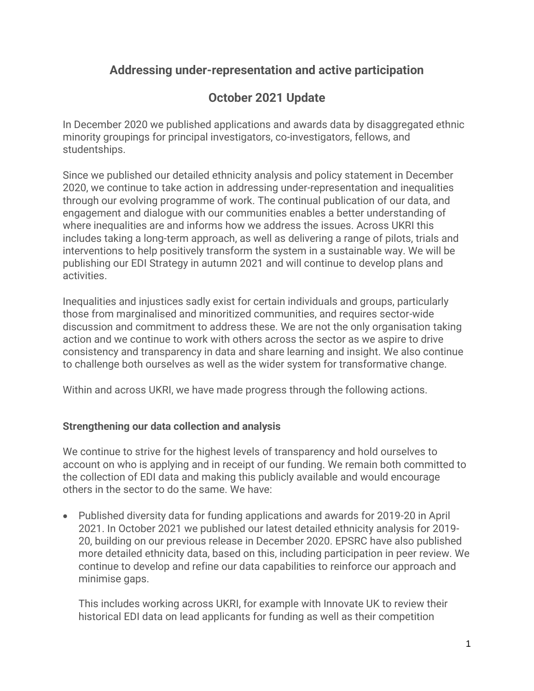## **Addressing under-representation and active participation**

# **October 2021 Update**

In December 2020 we published applications and awards data by disaggregated ethnic minority groupings for principal investigators, co-investigators, fellows, and studentships.

Since we published our detailed ethnicity analysis and policy statement in December 2020, we continue to take action in addressing under-representation and inequalities through our evolving programme of work. The continual publication of our data, and engagement and dialogue with our communities enables a better understanding of where inequalities are and informs how we address the issues. Across UKRI this includes taking a long-term approach, as well as delivering a range of pilots, trials and interventions to help positively transform the system in a sustainable way. We will be publishing our EDI Strategy in autumn 2021 and will continue to develop plans and activities.

Inequalities and injustices sadly exist for certain individuals and groups, particularly those from marginalised and minoritized communities, and requires sector-wide discussion and commitment to address these. We are not the only organisation taking action and we continue to work with others across the sector as we aspire to drive consistency and transparency in data and share learning and insight. We also continue to challenge both ourselves as well as the wider system for transformative change.

Within and across UKRI, we have made progress through the following actions.

### **Strengthening our data collection and analysis**

We continue to strive for the highest levels of transparency and hold ourselves to account on who is applying and in receipt of our funding. We remain both committed to the collection of EDI data and making this publicly available and would encourage others in the sector to do the same. We have:

• Published diversity data for funding applications and awards for 2019-20 in April 2021. In October 2021 we published our latest detailed ethnicity analysis for 2019- 20, building on our previous release in December 2020. EPSRC have also published more detailed ethnicity data, based on this, including participation in peer review. We continue to develop and refine our data capabilities to reinforce our approach and minimise gaps.

This includes working across UKRI, for example with Innovate UK to review their historical EDI data on lead applicants for funding as well as their competition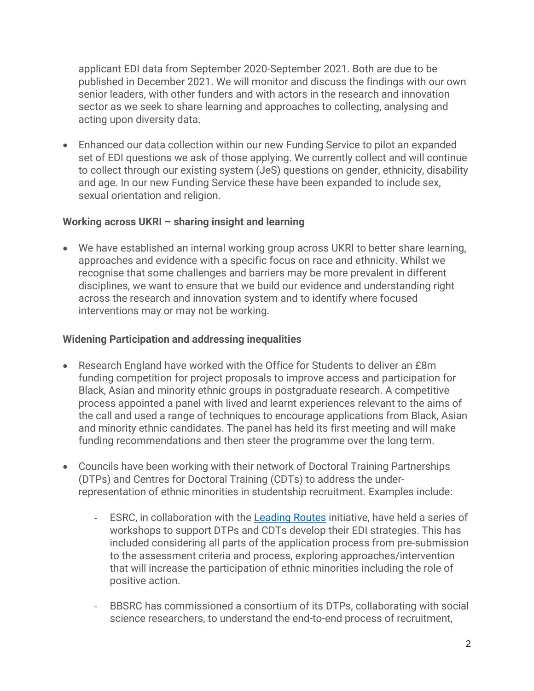applicant EDI data from September 2020-September 2021. Both are due to be published in December 2021. We will monitor and discuss the findings with our own senior leaders, with other funders and with actors in the research and innovation sector as we seek to share learning and approaches to collecting, analysing and acting upon diversity data.

• Enhanced our data collection within our new Funding Service to pilot an expanded set of EDI questions we ask of those applying. We currently collect and will continue to collect through our existing system (JeS) questions on gender, ethnicity, disability and age. In our new Funding Service these have been expanded to include sex, sexual orientation and religion.

#### **Working across UKRI – sharing insight and learning**

• We have established an internal working group across UKRI to better share learning, approaches and evidence with a specific focus on race and ethnicity. Whilst we recognise that some challenges and barriers may be more prevalent in different disciplines, we want to ensure that we build our evidence and understanding right across the research and innovation system and to identify where focused interventions may or may not be working.

#### **Widening Participation and addressing inequalities**

- Research England have worked with the Office for Students to deliver an £8m funding competition for project proposals to improve access and participation for Black, Asian and minority ethnic groups in postgraduate research. A competitive process appointed a panel with lived and learnt experiences relevant to the aims of the call and used a range of techniques to encourage applications from Black, Asian and minority ethnic candidates. The panel has held its first meeting and will make funding recommendations and then steer the programme over the long term.
- Councils have been working with their network of Doctoral Training Partnerships (DTPs) and Centres for Doctoral Training (CDTs) to address the underrepresentation of ethnic minorities in studentship recruitment. Examples include:
	- ESRC, in collaboration with the [Leading Routes](https://leadingroutes.org/) initiative, have held a series of workshops to support DTPs and CDTs develop their EDI strategies. This has included considering all parts of the application process from pre-submission to the assessment criteria and process, exploring approaches/intervention that will increase the participation of ethnic minorities including the role of positive action.
	- BBSRC has commissioned a consortium of its DTPs, collaborating with social science researchers, to understand the end-to-end process of recruitment,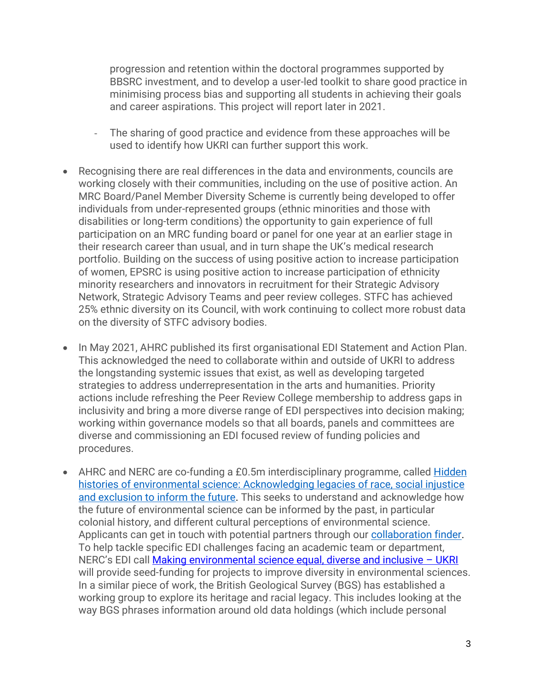progression and retention within the doctoral programmes supported by BBSRC investment, and to develop a user-led toolkit to share good practice in minimising process bias and supporting all students in achieving their goals and career aspirations. This project will report later in 2021.

- The sharing of good practice and evidence from these approaches will be used to identify how UKRI can further support this work.
- Recognising there are real differences in the data and environments, councils are working closely with their communities, including on the use of positive action. An MRC Board/Panel Member Diversity Scheme is currently being developed to offer individuals from under-represented groups (ethnic minorities and those with disabilities or long-term conditions) the opportunity to gain experience of full participation on an MRC funding board or panel for one year at an earlier stage in their research career than usual, and in turn shape the UK's medical research portfolio. Building on the success of using positive action to increase participation of women, EPSRC is using positive action to increase participation of ethnicity minority researchers and innovators in recruitment for their Strategic Advisory Network, Strategic Advisory Teams and peer review colleges. STFC has achieved 25% ethnic diversity on its Council, with work continuing to collect more robust data on the diversity of STFC advisory bodies.
- In May 2021, AHRC published its first organisational EDI Statement and Action Plan. This acknowledged the need to collaborate within and outside of UKRI to address the longstanding systemic issues that exist, as well as developing targeted strategies to address underrepresentation in the arts and humanities. Priority actions include refreshing the Peer Review College membership to address gaps in inclusivity and bring a more diverse range of EDI perspectives into decision making; working within governance models so that all boards, panels and committees are diverse and commissioning an EDI focused review of funding policies and procedures.
- AHRC and NERC are co-funding a £0.5m interdisciplinary programme, called Hidden [histories of environmental science: Acknowledging legacies of race, social injustice](https://nerc.ukri.org/research/funded/programmes/hidden-histories-programme/)  [and exclusion to inform the future.](https://nerc.ukri.org/research/funded/programmes/hidden-histories-programme/) This seeks to understand and acknowledge how the future of environmental science can be informed by the past, in particular colonial history, and different cultural perceptions of environmental science. Applicants can get in touch with potential partners through our [collaboration finder.](https://nerc.ukri.org/research/funded/programmes/hidden-histories-programme/) To help tackle specific EDI challenges facing an academic team or department, NERC's EDI call **[Making environmental science equal, diverse and inclusive](https://www.ukri.org/opportunity/making-environmental-science-equal-diverse-and-inclusive/) - UKRI** will provide seed-funding for projects to improve diversity in environmental sciences. In a similar piece of work, the British Geological Survey (BGS) has established a working group to explore its heritage and racial legacy. This includes looking at the way BGS phrases information around old data holdings (which include personal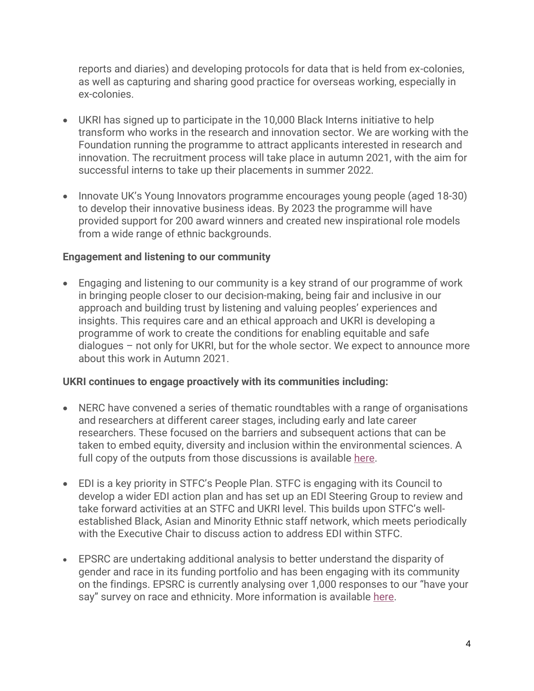reports and diaries) and developing protocols for data that is held from ex-colonies, as well as capturing and sharing good practice for overseas working, especially in ex-colonies.

- UKRI has signed up to participate in the 10,000 Black Interns initiative to help transform who works in the research and innovation sector. We are working with the Foundation running the programme to attract applicants interested in research and innovation. The recruitment process will take place in autumn 2021, with the aim for successful interns to take up their placements in summer 2022.
- Innovate UK's Young Innovators programme encourages young people (aged 18-30) to develop their innovative business ideas. By 2023 the programme will have provided support for 200 award winners and created new inspirational role models from a wide range of ethnic backgrounds.

#### **Engagement and listening to our community**

• Engaging and listening to our community is a key strand of our programme of work in bringing people closer to our decision-making, being fair and inclusive in our approach and building trust by listening and valuing peoples' experiences and insights. This requires care and an ethical approach and UKRI is developing a programme of work to create the conditions for enabling equitable and safe dialogues – not only for UKRI, but for the whole sector. We expect to announce more about this work in Autumn 2021.

#### **UKRI continues to engage proactively with its communities including:**

- NERC have convened a series of thematic roundtables with a range of organisations and researchers at different career stages, including early and late career researchers. These focused on the barriers and subsequent actions that can be taken to embed equity, diversity and inclusion within the environmental sciences. A full copy of the outputs from those discussions is available [here.](https://www.ukri.org/news/nerc-publishes-collaborative-inclusivity-summary-report/)
- EDI is a key priority in STFC's People Plan. STFC is engaging with its Council to develop a wider EDI action plan and has set up an EDI Steering Group to review and take forward activities at an STFC and UKRI level. This builds upon STFC's wellestablished Black, Asian and Minority Ethnic staff network, which meets periodically with the Executive Chair to discuss action to address EDI within STFC.
- EPSRC are undertaking additional analysis to better understand the disparity of gender and race in its funding portfolio and has been engaging with its community on the findings. EPSRC is currently analysing over 1,000 responses to our "have your say" survey on race and ethnicity. More information is available [here.](https://epsrc.ukri.org/funding/edi-at-epsrc/)